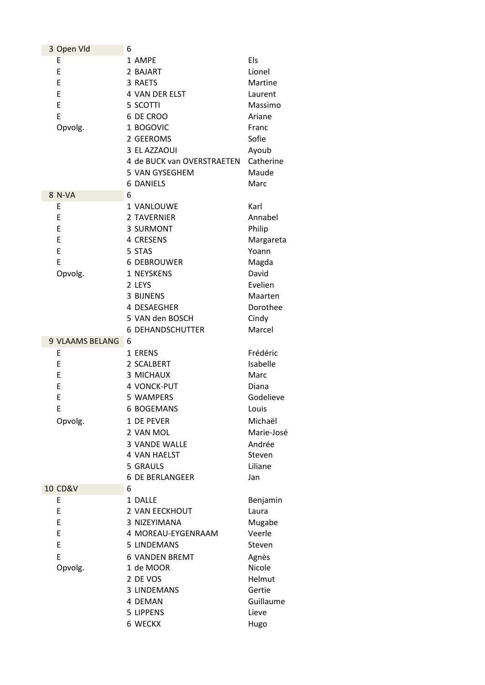| 3 Open Vld             | 6                          |            |
|------------------------|----------------------------|------------|
| E                      | 1 AMPE                     | Els        |
| E                      | 2 BAJART                   | Lionel     |
| E                      | 3 RAETS                    | Martine    |
| E                      | 4 VAN DER ELST             | Laurent    |
| E                      | 5 SCOTTI                   | Massimo    |
| E                      | 6 DE CROO                  | Ariane     |
| Opvolg.                | 1 BOGOVIC                  | Franc      |
|                        | 2 GEEROMS                  | Sofie      |
|                        | 3 EL AZZAOUI               | Ayoub      |
|                        | 4 de BUCK van OVERSTRAETEN | Catherine  |
|                        | 5 VAN GYSEGHEM             | Maude      |
|                        | <b>6 DANIELS</b>           | Marc       |
| 8 N-VA                 | 6                          |            |
| E                      | 1 VANLOUWE                 | Karl       |
| E                      | 2 TAVERNIER                |            |
|                        |                            | Annabel    |
| E                      | 3 SURMONT                  | Philip     |
| E                      | 4 CRESENS                  | Margareta  |
| E                      | 5 STAS                     | Yoann      |
| E                      | <b>6 DEBROUWER</b>         | Magda      |
| Opvolg.                | 1 NEYSKENS                 | David      |
|                        | 2 LEYS                     | Evelien    |
|                        | 3 BIJNENS                  | Maarten    |
|                        | 4 DESAEGHER                | Dorothee   |
|                        | 5 VAN den BOSCH            | Cindy      |
|                        | <b>6 DEHANDSCHUTTER</b>    | Marcel     |
| <b>9 VLAAMS BELANG</b> | 6                          |            |
| Ε                      | 1 ERENS                    | Frédéric   |
| E                      | 2 SCALBERT                 | Isabelle   |
| E                      | 3 MICHAUX                  | Marc       |
| E                      | 4 VONCK-PUT                | Diana      |
| E                      | 5 WAMPERS                  | Godelieve  |
| E                      | <b>6 BOGEMANS</b>          | Louis      |
| Opvolg.                | 1 DE PEVER                 | Michaël    |
|                        | 2 VAN MOL                  | Marie-José |
|                        | 3 VANDE WALLE              | Andrée     |
|                        | 4 VAN HAELST               | Steven     |
|                        | 5 GRAULS                   | Liliane    |
|                        |                            |            |
|                        | <b>6 DE BERLANGEER</b>     | Jan        |
| <b>10 CD&amp;V</b>     | 6                          |            |
| Ε                      | 1 DALLE                    | Benjamin   |
| E                      | 2 VAN EECKHOUT             | Laura      |
| E                      | 3 NIZEYIMANA               | Mugabe     |
| E                      | 4 MOREAU-EYGENRAAM         | Veerle     |
| E                      | 5 LINDEMANS                | Steven     |
| E                      | <b>6 VANDEN BREMT</b>      | Agnès      |
| Opvolg.                | 1 de MOOR                  | Nicole     |
|                        | 2 DE VOS                   | Helmut     |
|                        | 3 LINDEMANS                | Gertie     |
|                        | 4 DEMAN                    | Guillaume  |
|                        | 5 LIPPENS                  | Lieve      |